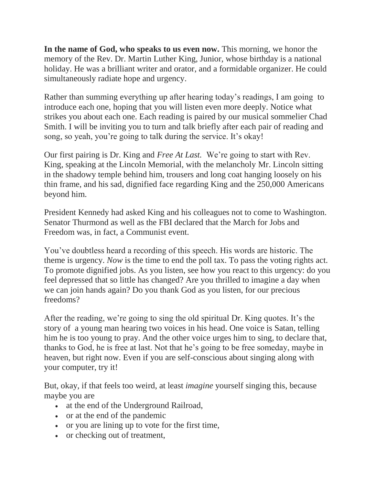**In the name of God, who speaks to us even now.** This morning, we honor the memory of the Rev. Dr. Martin Luther King, Junior, whose birthday is a national holiday. He was a brilliant writer and orator, and a formidable organizer. He could simultaneously radiate hope and urgency.

Rather than summing everything up after hearing today's readings, I am going to introduce each one, hoping that you will listen even more deeply. Notice what strikes you about each one. Each reading is paired by our musical sommelier Chad Smith. I will be inviting you to turn and talk briefly after each pair of reading and song, so yeah, you're going to talk during the service. It's okay!

Our first pairing is Dr. King and *Free At Last.* We're going to start with Rev. King, speaking at the Lincoln Memorial, with the melancholy Mr. Lincoln sitting in the shadowy temple behind him, trousers and long coat hanging loosely on his thin frame, and his sad, dignified face regarding King and the 250,000 Americans beyond him.

President Kennedy had asked King and his colleagues not to come to Washington. Senator Thurmond as well as the FBI declared that the March for Jobs and Freedom was, in fact, a Communist event.

You've doubtless heard a recording of this speech. His words are historic. The theme is urgency. *Now* is the time to end the poll tax. To pass the voting rights act. To promote dignified jobs. As you listen, see how you react to this urgency: do you feel depressed that so little has changed? Are you thrilled to imagine a day when we can join hands again? Do you thank God as you listen, for our precious freedoms?

After the reading, we're going to sing the old spiritual Dr. King quotes. It's the story of a young man hearing two voices in his head. One voice is Satan, telling him he is too young to pray. And the other voice urges him to sing, to declare that, thanks to God, he is free at last. Not that he's going to be free someday, maybe in heaven, but right now. Even if you are self-conscious about singing along with your computer, try it!

But, okay, if that feels too weird, at least *imagine* yourself singing this, because maybe you are

- at the end of the Underground Railroad,
- or at the end of the pandemic
- or you are lining up to vote for the first time,
- or checking out of treatment,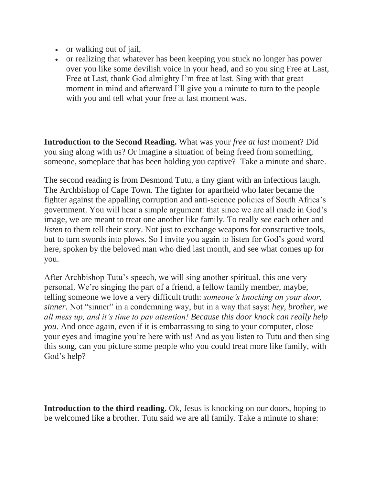- or walking out of jail,
- or realizing that whatever has been keeping you stuck no longer has power over you like some devilish voice in your head, and so you sing Free at Last, Free at Last, thank God almighty I'm free at last. Sing with that great moment in mind and afterward I'll give you a minute to turn to the people with you and tell what your free at last moment was.

**Introduction to the Second Reading.** What was your *free at last* moment? Did you sing along with us? Or imagine a situation of being freed from something, someone, someplace that has been holding you captive? Take a minute and share.

The second reading is from Desmond Tutu, a tiny giant with an infectious laugh. The Archbishop of Cape Town. The fighter for apartheid who later became the fighter against the appalling corruption and anti-science policies of South Africa's government. You will hear a simple argument: that since we are all made in God's image, we are meant to treat one another like family. To really *see* each other and *listen* to them tell their story. Not just to exchange weapons for constructive tools, but to turn swords into plows. So I invite you again to listen for God's good word here, spoken by the beloved man who died last month, and see what comes up for you.

After Archbishop Tutu's speech, we will sing another spiritual, this one very personal. We're singing the part of a friend, a fellow family member, maybe, telling someone we love a very difficult truth: *someone's knocking on your door, sinner.* Not "sinner" in a condemning way, but in a way that says: *hey, brother, we all mess up, and it's time to pay attention! Because this door knock can really help you.* And once again, even if it is embarrassing to sing to your computer, close your eyes and imagine you're here with us! And as you listen to Tutu and then sing this song, can you picture some people who you could treat more like family, with God's help?

**Introduction to the third reading.** Ok, Jesus is knocking on our doors, hoping to be welcomed like a brother. Tutu said we are all family. Take a minute to share: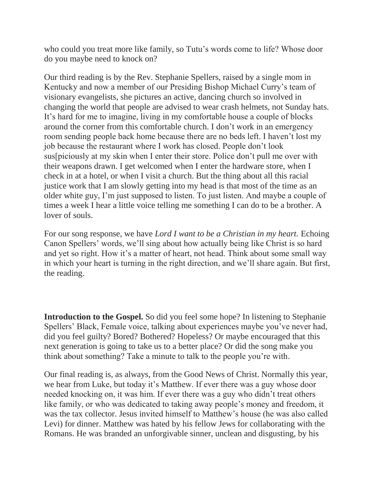who could you treat more like family, so Tutu's words come to life? Whose door do you maybe need to knock on?

Our third reading is by the Rev. Stephanie Spellers, raised by a single mom in Kentucky and now a member of our Presiding Bishop Michael Curry's team of visionary evangelists, she pictures an active, dancing church so involved in changing the world that people are advised to wear crash helmets, not Sunday hats. It's hard for me to imagine, living in my comfortable house a couple of blocks around the corner from this comfortable church. I don't work in an emergency room sending people back home because there are no beds left. I haven't lost my job because the restaurant where I work has closed. People don't look sus[piciously at my skin when I enter their store. Police don't pull me over with their weapons drawn. I get welcomed when I enter the hardware store, when I check in at a hotel, or when I visit a church. But the thing about all this racial justice work that I am slowly getting into my head is that most of the time as an older white guy, I'm just supposed to listen. To just listen. And maybe a couple of times a week I hear a little voice telling me something I can do to be a brother. A lover of souls.

For our song response, we have *Lord I want to be a Christian in my heart.* Echoing Canon Spellers' words, we'll sing about how actually being like Christ is so hard and yet so right. How it's a matter of heart, not head. Think about some small way in which your heart is turning in the right direction, and we'll share again. But first, the reading.

**Introduction to the Gospel.** So did you feel some hope? In listening to Stephanie Spellers' Black, Female voice, talking about experiences maybe you've never had, did you feel guilty? Bored? Bothered? Hopeless? Or maybe encouraged that this next generation is going to take us to a better place? Or did the song make you think about something? Take a minute to talk to the people you're with.

Our final reading is, as always, from the Good News of Christ. Normally this year, we hear from Luke, but today it's Matthew. If ever there was a guy whose door needed knocking on, it was him. If ever there was a guy who didn't treat others like family, or who was dedicated to taking away people's money and freedom, it was the tax collector. Jesus invited himself to Matthew's house (he was also called Levi) for dinner. Matthew was hated by his fellow Jews for collaborating with the Romans. He was branded an unforgivable sinner, unclean and disgusting, by his